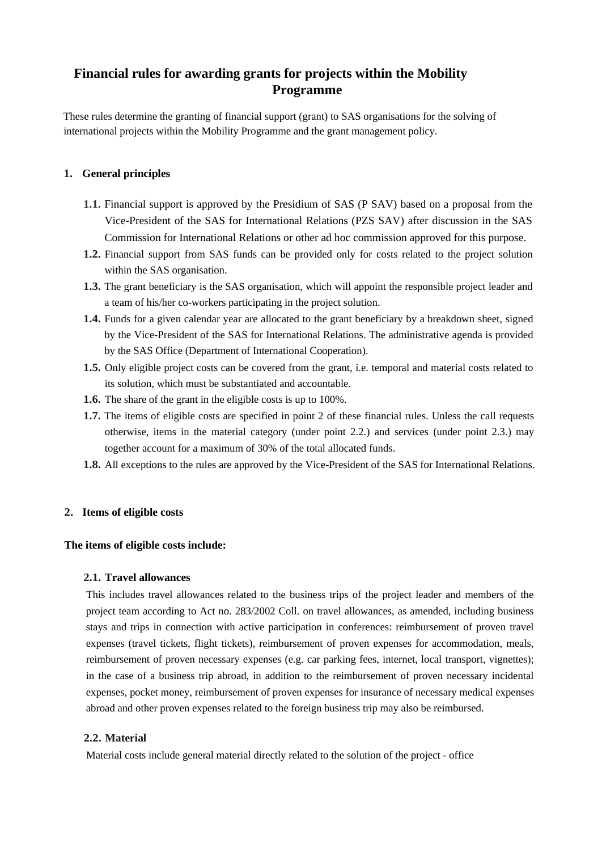# **Financial rules for awarding grants for projects within the Mobility Programme**

These rules determine the granting of financial support (grant) to SAS organisations for the solving of international projects within the Mobility Programme and the grant management policy.

# **1. General principles**

- **1.1.** Financial support is approved by the Presidium of SAS (P SAV) based on a proposal from the Vice-President of the SAS for International Relations (PZS SAV) after discussion in the SAS Commission for International Relations or other ad hoc commission approved for this purpose.
- **1.2.** Financial support from SAS funds can be provided only for costs related to the project solution within the SAS organisation.
- **1.3.** The grant beneficiary is the SAS organisation, which will appoint the responsible project leader and a team of his/her co-workers participating in the project solution.
- **1.4.** Funds for a given calendar year are allocated to the grant beneficiary by a breakdown sheet, signed by the Vice-President of the SAS for International Relations. The administrative agenda is provided by the SAS Office (Department of International Cooperation).
- **1.5.** Only eligible project costs can be covered from the grant, i.e. temporal and material costs related to its solution, which must be substantiated and accountable.
- **1.6.** The share of the grant in the eligible costs is up to 100%.
- **1.7.** The items of eligible costs are specified in point 2 of these financial rules. Unless the call requests otherwise, items in the material category (under point 2.2.) and services (under point 2.3.) may together account for a maximum of 30% of the total allocated funds.
- **1.8.** All exceptions to the rules are approved by the Vice-President of the SAS for International Relations.

## **2. Items of eligible costs**

## **The items of eligible costs include:**

## **2.1. Travel allowances**

This includes travel allowances related to the business trips of the project leader and members of the project team according to Act no. 283/2002 Coll. on travel allowances, as amended, including business stays and trips in connection with active participation in conferences: reimbursement of proven travel expenses (travel tickets, flight tickets), reimbursement of proven expenses for accommodation, meals, reimbursement of proven necessary expenses (e.g. car parking fees, internet, local transport, vignettes); in the case of a business trip abroad, in addition to the reimbursement of proven necessary incidental expenses, pocket money, reimbursement of proven expenses for insurance of necessary medical expenses abroad and other proven expenses related to the foreign business trip may also be reimbursed.

## **2.2. Material**

Material costs include general material directly related to the solution of the project - office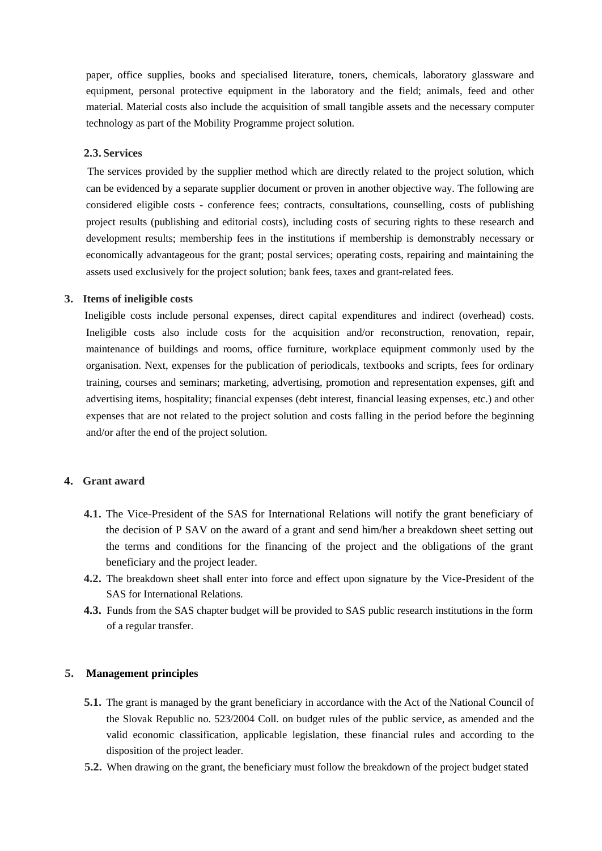paper, office supplies, books and specialised literature, toners, chemicals, laboratory glassware and equipment, personal protective equipment in the laboratory and the field; animals, feed and other material. Material costs also include the acquisition of small tangible assets and the necessary computer technology as part of the Mobility Programme project solution.

#### **2.3. Services**

The services provided by the supplier method which are directly related to the project solution, which can be evidenced by a separate supplier document or proven in another objective way. The following are considered eligible costs - conference fees; contracts, consultations, counselling, costs of publishing project results (publishing and editorial costs), including costs of securing rights to these research and development results; membership fees in the institutions if membership is demonstrably necessary or economically advantageous for the grant; postal services; operating costs, repairing and maintaining the assets used exclusively for the project solution; bank fees, taxes and grant-related fees.

#### **3. Items of ineligible costs**

Ineligible costs include personal expenses, direct capital expenditures and indirect (overhead) costs. Ineligible costs also include costs for the acquisition and/or reconstruction, renovation, repair, maintenance of buildings and rooms, office furniture, workplace equipment commonly used by the organisation. Next, expenses for the publication of periodicals, textbooks and scripts, fees for ordinary training, courses and seminars; marketing, advertising, promotion and representation expenses, gift and advertising items, hospitality; financial expenses (debt interest, financial leasing expenses, etc.) and other expenses that are not related to the project solution and costs falling in the period before the beginning and/or after the end of the project solution.

### **4. Grant award**

- **4.1.** The Vice-President of the SAS for International Relations will notify the grant beneficiary of the decision of P SAV on the award of a grant and send him/her a breakdown sheet setting out the terms and conditions for the financing of the project and the obligations of the grant beneficiary and the project leader.
- **4.2.** The breakdown sheet shall enter into force and effect upon signature by the Vice-President of the SAS for International Relations.
- **4.3.** Funds from the SAS chapter budget will be provided to SAS public research institutions in the form of a regular transfer.

## **5. Management principles**

- **5.1.** The grant is managed by the grant beneficiary in accordance with the Act of the National Council of the Slovak Republic no. 523/2004 Coll. on budget rules of the public service, as amended and the valid economic classification, applicable legislation, these financial rules and according to the disposition of the project leader.
- **5.2.** When drawing on the grant, the beneficiary must follow the breakdown of the project budget stated